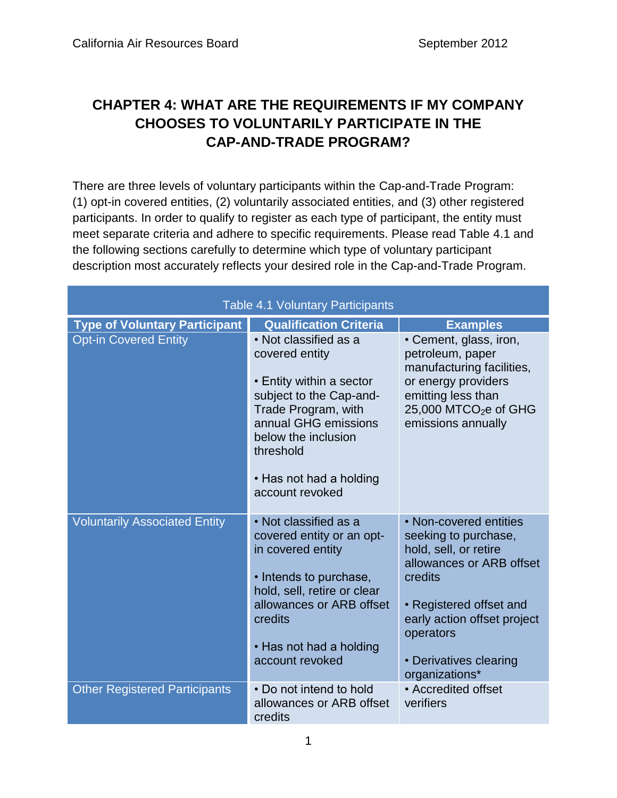# **CHAPTER 4: WHAT ARE THE REQUIREMENTS IF MY COMPANY CHOOSES TO VOLUNTARILY PARTICIPATE IN THE CAP-AND-TRADE PROGRAM?**

There are three levels of voluntary participants within the Cap-and-Trade Program: (1) opt-in covered entities, (2) voluntarily associated entities, and (3) other registered participants. In order to qualify to register as each type of participant, the entity must meet separate criteria and adhere to specific requirements. Please read Table 4.1 and the following sections carefully to determine which type of voluntary participant description most accurately reflects your desired role in the Cap-and-Trade Program.

| <b>Table 4.1 Voluntary Participants</b> |                                                                                                                                                                                                                                 |                                                                                                                                                                                                                                   |  |
|-----------------------------------------|---------------------------------------------------------------------------------------------------------------------------------------------------------------------------------------------------------------------------------|-----------------------------------------------------------------------------------------------------------------------------------------------------------------------------------------------------------------------------------|--|
| <b>Type of Voluntary Participant</b>    | <b>Qualification Criteria</b>                                                                                                                                                                                                   | <b>Examples</b>                                                                                                                                                                                                                   |  |
| <b>Opt-in Covered Entity</b>            | • Not classified as a<br>covered entity<br>• Entity within a sector<br>subject to the Cap-and-<br>Trade Program, with<br>annual GHG emissions<br>below the inclusion<br>threshold<br>• Has not had a holding<br>account revoked | • Cement, glass, iron,<br>petroleum, paper<br>manufacturing facilities,<br>or energy providers<br>emitting less than<br>25,000 MTCO <sub>2</sub> e of GHG<br>emissions annually                                                   |  |
| <b>Voluntarily Associated Entity</b>    | • Not classified as a<br>covered entity or an opt-<br>in covered entity<br>• Intends to purchase,<br>hold, sell, retire or clear<br>allowances or ARB offset<br>credits<br>• Has not had a holding<br>account revoked           | • Non-covered entities<br>seeking to purchase,<br>hold, sell, or retire<br>allowances or ARB offset<br>credits<br>• Registered offset and<br>early action offset project<br>operators<br>• Derivatives clearing<br>organizations* |  |
| <b>Other Registered Participants</b>    | • Do not intend to hold<br>allowances or ARB offset<br>credits                                                                                                                                                                  | • Accredited offset<br>verifiers                                                                                                                                                                                                  |  |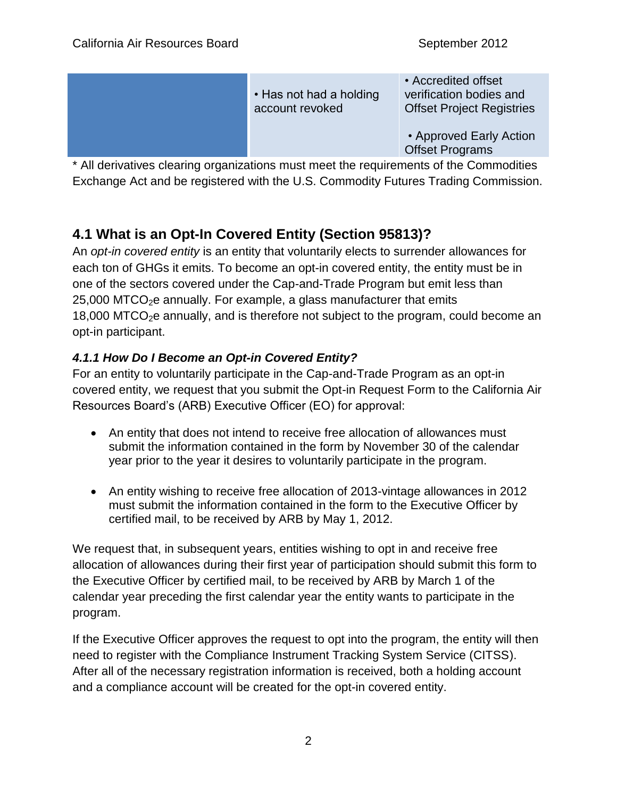| • Has not had a holding<br>account revoked | • Accredited offset<br>verification bodies and<br><b>Offset Project Registries</b> |
|--------------------------------------------|------------------------------------------------------------------------------------|
|                                            | • Approved Early Action<br><b>Offset Programs</b>                                  |

\* All derivatives clearing organizations must meet the requirements of the Commodities Exchange Act and be registered with the U.S. Commodity Futures Trading Commission.

# **4.1 What is an Opt-In Covered Entity (Section 95813)?**

An *opt-in covered entity* is an entity that voluntarily elects to surrender allowances for each ton of GHGs it emits. To become an opt-in covered entity, the entity must be in one of the sectors covered under the Cap-and-Trade Program but emit less than  $25,000$  MTCO<sub>2</sub>e annually. For example, a glass manufacturer that emits  $18,000$  MTCO<sub>2</sub>e annually, and is therefore not subject to the program, could become an opt-in participant.

### *4.1.1 How Do I Become an Opt-in Covered Entity?*

For an entity to voluntarily participate in the Cap-and-Trade Program as an opt-in covered entity, we request that you [submit the Opt-in Request Form t](http://www.arb.ca.gov/cc/capandtrade/optinform.docx)o the California Air Resources Board's (ARB) Executive Officer (EO) for approval:

- An entity that does not intend to receive free allocation of allowances must submit the information contained in the form by November 30 of the calendar year prior to the year it desires to voluntarily participate in the program.
- An entity wishing to receive free allocation of 2013-vintage allowances in 2012 must submit the information contained in the form to the Executive Officer by certified mail, to be received by ARB by May 1, 2012.

We request that, in subsequent years, entities wishing to opt in and receive free allocation of allowances during their first year of participation should [submit this form t](http://www.arb.ca.gov/cc/capandtrade/optinform.docx)o the Executive Officer by certified mail, to be received by ARB by March 1 of the calendar year preceding the first calendar year the entity wants to participate in the program.

If the Executive Officer approves the request to opt into the program, the entity will then need to register with the Compliance Instrument Tracking System Service (CITSS). After all of the necessary registration information is received, both a holding account and a compliance account will be created for the opt-in covered entity.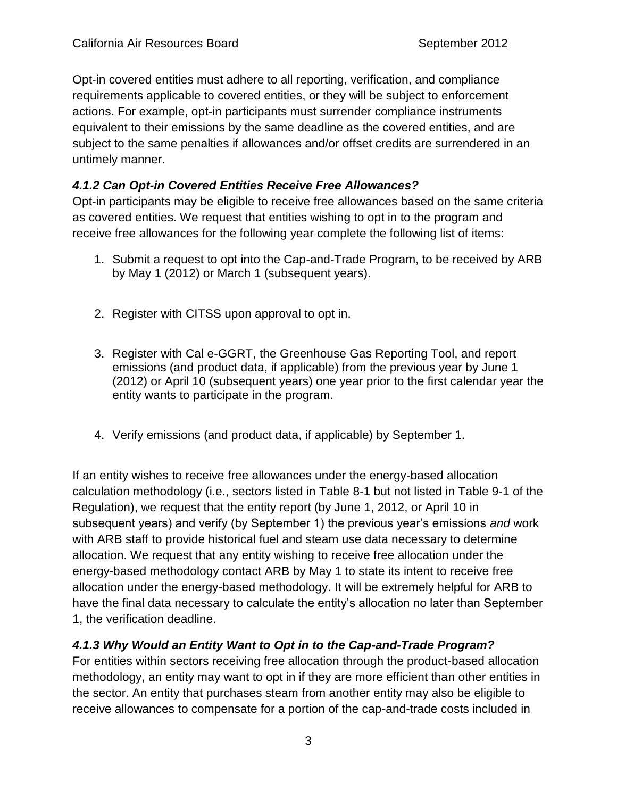Opt-in covered entities must adhere to all reporting, verification, and compliance requirements applicable to covered entities, or they will be subject to enforcement actions. For example, opt-in participants must surrender compliance instruments equivalent to their emissions by the same deadline as the covered entities, and are subject to the same penalties if allowances and/or offset credits are surrendered in an untimely manner.

#### *4.1.2 Can Opt-in Covered Entities Receive Free Allowances?*

Opt-in participants may be eligible to receive free allowances based on the same criteria as covered entities. We request that entities wishing to opt in to the program and receive free allowances for the following year complete the following list of items:

- 1. Submit a request to opt into the Cap-and-Trade Program, to be received by ARB by May 1 (2012) or March 1 (subsequent years).
- 2. Register with CITSS upon approval to opt in.
- 3. Register with Cal e-GGRT, the Greenhouse Gas Reporting Tool, and report emissions (and product data, if applicable) from the previous year by June 1 (2012) or April 10 (subsequent years) one year prior to the first calendar year the entity wants to participate in the program.
- 4. Verify emissions (and product data, if applicable) by September 1.

If an entity wishes to receive free allowances under the energy-based allocation calculation methodology (i.e., sectors listed in Table 8-1 but not listed in Table 9-1 of the Regulation), we request that the entity report (by June 1, 2012, or April 10 in subsequent years) and verify (by September 1) the previous year's emissions *and* work with ARB staff to provide historical fuel and steam use data necessary to determine allocation. We request that any entity wishing to receive free allocation under the energy-based methodology contact ARB by May 1 to state its intent to receive free allocation under the energy-based methodology. It will be extremely helpful for ARB to have the final data necessary to calculate the entity's allocation no later than September 1, the verification deadline.

#### *4.1.3 Why Would an Entity Want to Opt in to the Cap-and-Trade Program?*

For entities within sectors receiving free allocation through the product-based allocation methodology, an entity may want to opt in if they are more efficient than other entities in the sector. An entity that purchases steam from another entity may also be eligible to receive allowances to compensate for a portion of the cap-and-trade costs included in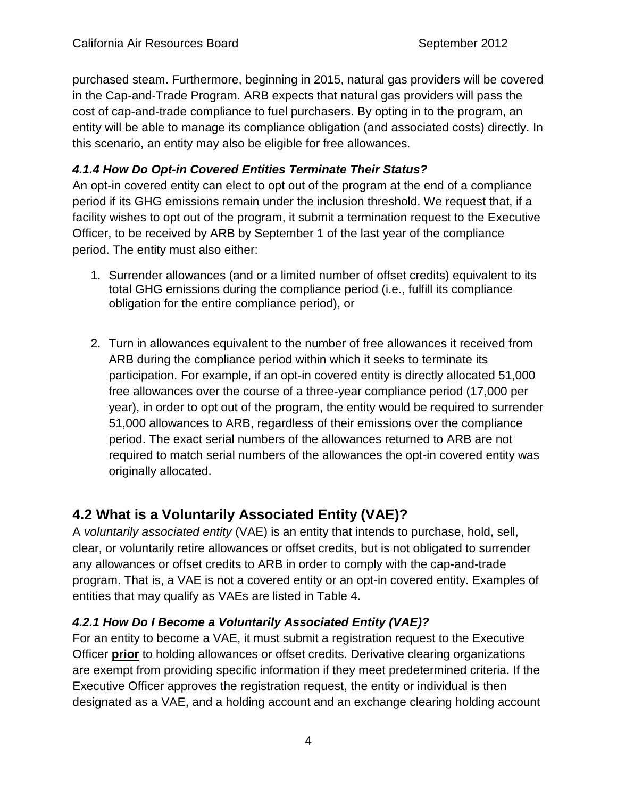purchased steam. Furthermore, beginning in 2015, natural gas providers will be covered in the Cap-and-Trade Program. ARB expects that natural gas providers will pass the cost of cap-and-trade compliance to fuel purchasers. By opting in to the program, an entity will be able to manage its compliance obligation (and associated costs) directly. In this scenario, an entity may also be eligible for free allowances.

#### *4.1.4 How Do Opt-in Covered Entities Terminate Their Status?*

An opt-in covered entity can elect to opt out of the program at the end of a compliance period if its GHG emissions remain under the inclusion threshold. We request that, if a facility wishes to opt out of the program, it submit a termination request to the Executive Officer, to be received by ARB by September 1 of the last year of the compliance period. The entity must also either:

- 1. Surrender allowances (and or a limited number of offset credits) equivalent to its total GHG emissions during the compliance period (i.e., fulfill its compliance obligation for the entire compliance period), or
- 2. Turn in allowances equivalent to the number of free allowances it received from ARB during the compliance period within which it seeks to terminate its participation. For example, if an opt-in covered entity is directly allocated 51,000 free allowances over the course of a three-year compliance period (17,000 per year), in order to opt out of the program, the entity would be required to surrender 51,000 allowances to ARB, regardless of their emissions over the compliance period. The exact serial numbers of the allowances returned to ARB are not required to match serial numbers of the allowances the opt-in covered entity was originally allocated.

## **4.2 What is a Voluntarily Associated Entity (VAE)?**

A *voluntarily associated entity* (VAE) is an entity that intends to purchase, hold, sell, clear, or voluntarily retire allowances or offset credits, but is not obligated to surrender any allowances or offset credits to ARB in order to comply with the cap-and-trade program. That is, a VAE is not a covered entity or an opt-in covered entity. Examples of entities that may qualify as VAEs are listed in Table 4.

### *4.2.1 How Do I Become a Voluntarily Associated Entity (VAE)?*

For an entity to become a VAE, it must submit a registration request to the Executive Officer **prior** to holding allowances or offset credits. Derivative clearing organizations are exempt from providing specific information if they meet predetermined criteria. If the Executive Officer approves the registration request, the entity or individual is then designated as a VAE, and a holding account and an exchange clearing holding account